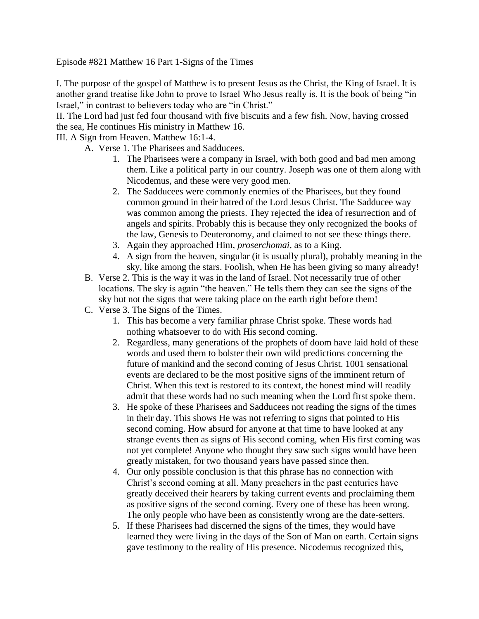Episode #821 Matthew 16 Part 1-Signs of the Times

I. The purpose of the gospel of Matthew is to present Jesus as the Christ, the King of Israel. It is another grand treatise like John to prove to Israel Who Jesus really is. It is the book of being "in Israel," in contrast to believers today who are "in Christ."

II. The Lord had just fed four thousand with five biscuits and a few fish. Now, having crossed the sea, He continues His ministry in Matthew 16.

III. A Sign from Heaven. Matthew 16:1-4.

- A. Verse 1. The Pharisees and Sadducees.
	- 1. The Pharisees were a company in Israel, with both good and bad men among them. Like a political party in our country. Joseph was one of them along with Nicodemus, and these were very good men.
	- 2. The Sadducees were commonly enemies of the Pharisees, but they found common ground in their hatred of the Lord Jesus Christ. The Sadducee way was common among the priests. They rejected the idea of resurrection and of angels and spirits. Probably this is because they only recognized the books of the law, Genesis to Deuteronomy, and claimed to not see these things there.
	- 3. Again they approached Him, *proserchomai*, as to a King.
	- 4. A sign from the heaven, singular (it is usually plural), probably meaning in the sky, like among the stars. Foolish, when He has been giving so many already!
- B. Verse 2. This is the way it was in the land of Israel. Not necessarily true of other locations. The sky is again "the heaven." He tells them they can see the signs of the sky but not the signs that were taking place on the earth right before them!
- C. Verse 3. The Signs of the Times.
	- 1. This has become a very familiar phrase Christ spoke. These words had nothing whatsoever to do with His second coming.
	- 2. Regardless, many generations of the prophets of doom have laid hold of these words and used them to bolster their own wild predictions concerning the future of mankind and the second coming of Jesus Christ. 1001 sensational events are declared to be the most positive signs of the imminent return of Christ. When this text is restored to its context, the honest mind will readily admit that these words had no such meaning when the Lord first spoke them.
	- 3. He spoke of these Pharisees and Sadducees not reading the signs of the times in their day. This shows He was not referring to signs that pointed to His second coming. How absurd for anyone at that time to have looked at any strange events then as signs of His second coming, when His first coming was not yet complete! Anyone who thought they saw such signs would have been greatly mistaken, for two thousand years have passed since then.
	- 4. Our only possible conclusion is that this phrase has no connection with Christ's second coming at all. Many preachers in the past centuries have greatly deceived their hearers by taking current events and proclaiming them as positive signs of the second coming. Every one of these has been wrong. The only people who have been as consistently wrong are the date-setters.
	- 5. If these Pharisees had discerned the signs of the times, they would have learned they were living in the days of the Son of Man on earth. Certain signs gave testimony to the reality of His presence. Nicodemus recognized this,